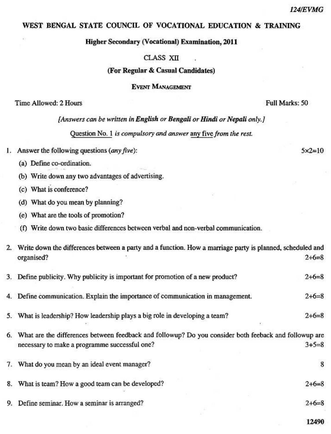## WEST BENGAL STATE COUNCIL OF VOCATIONAL EDUCATION & TRAINING

## **Higher Secondary (Vocational) Examination, 2011**

## CLASS XII

# (For Regular & Casual Candidates)

**EVENT MANAGEMENT** 

Time Allowed: 2 Hours

Full Marks: 50

[Answers can be written in English or Bengali or Hindi or Nepali only.]

Ouestion No. 1 is compulsory and answer any five from the rest.

- 1. Answer the following questions  $(\textit{any five})$ :
	- (a) Define co-ordination.
	- (b) Write down any two advantages of advertising.
	- (c) What is conference?
	- (d) What do you mean by planning?
	- (e) What are the tools of promotion?
	- (f) Write down two basic differences between verbal and non-verbal communication.

|    | 2. Write down the differences between a party and a function. How a marriage party is planned, scheduled and |                         |
|----|--------------------------------------------------------------------------------------------------------------|-------------------------|
|    | organised?                                                                                                   | $2+6=8$                 |
|    | 3. Define publicity. Why publicity is important for promotion of a new product?                              | $2+6=8$                 |
|    | 4. Define communication. Explain the importance of communication in management.                              | $2+6=8$                 |
|    | 5. What is leadership? How leadership plays a big role in developing a team?                                 | $2+6=8$                 |
| 6. | What are the differences between feedback and followup? Do you consider both feeback and followup are        |                         |
|    | necessary to make a programme successful one?                                                                | $3 + 5 = 8$             |
|    | 7. What do you mean by an ideal event manager?                                                               | $\overline{\mathbf{8}}$ |
|    | 8. What is team? How a good team can be developed?                                                           | $2+6=8$                 |

9. Define seminar. How a seminar is arranged?

12490

 $2+6=8$ 

 $5x2=10$